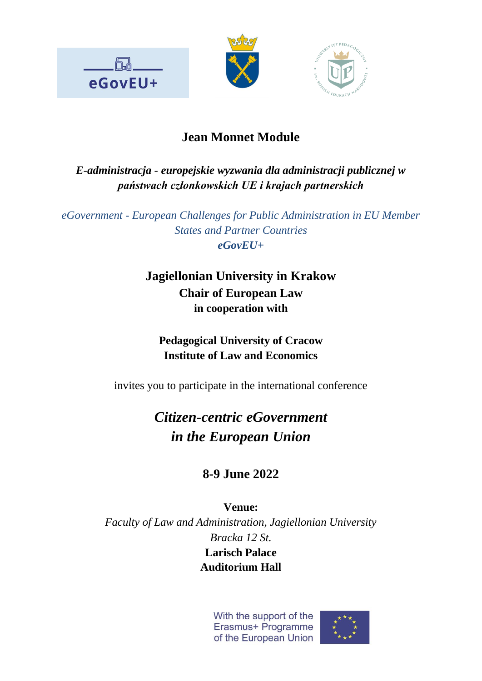





## **Jean Monnet Module**

### *E-administracja - europejskie wyzwania dla administracji publicznej w państwach członkowskich UE i krajach partnerskich*

*eGovernment - European Challenges for Public Administration in EU Member States and Partner Countries eGovEU+*

## **Jagiellonian University in Krakow Chair of European Law in cooperation with**

**Pedagogical University of Cracow Institute of Law and Economics**

invites you to participate in the international conference

# *Citizen-centric eGovernment in the European Union*

# **8-9 June 2022**

**Venue:** *Faculty of Law and Administration, Jagiellonian University Bracka 12 St.* **Larisch Palace**

**Auditorium Hall**

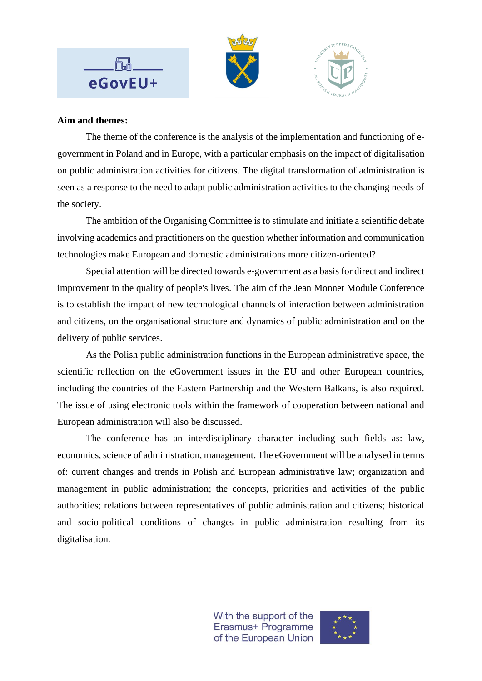

#### **Aim and themes:**

The theme of the conference is the analysis of the implementation and functioning of egovernment in Poland and in Europe, with a particular emphasis on the impact of digitalisation on public administration activities for citizens. The digital transformation of administration is seen as a response to the need to adapt public administration activities to the changing needs of the society.

The ambition of the Organising Committee is to stimulate and initiate a scientific debate involving academics and practitioners on the question whether information and communication technologies make European and domestic administrations more citizen-oriented?

Special attention will be directed towards e-government as a basis for direct and indirect improvement in the quality of people's lives. The aim of the Jean Monnet Module Conference is to establish the impact of new technological channels of interaction between administration and citizens, on the organisational structure and dynamics of public administration and on the delivery of public services.

As the Polish public administration functions in the European administrative space, the scientific reflection on the eGovernment issues in the EU and other European countries, including the countries of the Eastern Partnership and the Western Balkans, is also required. The issue of using electronic tools within the framework of cooperation between national and European administration will also be discussed.

The conference has an interdisciplinary character including such fields as: law, economics, science of administration, management. The eGovernment will be analysed in terms of: current changes and trends in Polish and European administrative law; organization and management in public administration; the concepts, priorities and activities of the public authorities; relations between representatives of public administration and citizens; historical and socio-political conditions of changes in public administration resulting from its digitalisation.

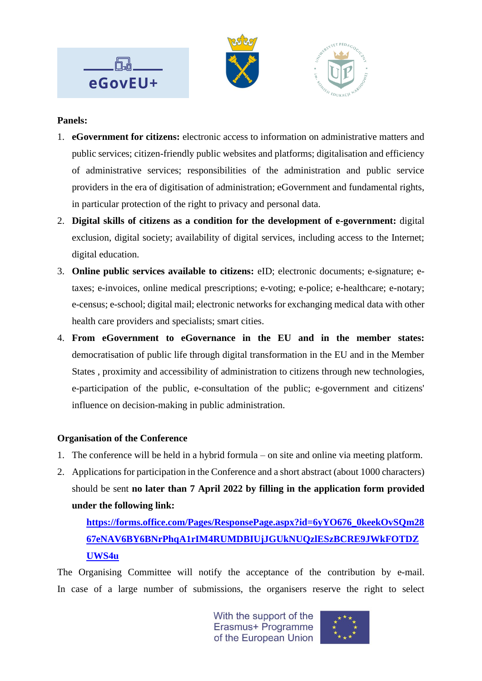

#### **Panels:**

- 1. **eGovernment for citizens:** electronic access to information on administrative matters and public services; citizen-friendly public websites and platforms; digitalisation and efficiency of administrative services; responsibilities of the administration and public service providers in the era of digitisation of administration; eGovernment and fundamental rights, in particular protection of the right to privacy and personal data.
- 2. **Digital skills of citizens as a condition for the development of e-government:** digital exclusion, digital society; availability of digital services, including access to the Internet; digital education.
- 3. **Online public services available to citizens:** eID; electronic documents; e-signature; etaxes; e-invoices, online medical prescriptions; e-voting; e-police; e-healthcare; e-notary; e-census; e-school; digital mail; electronic networks for exchanging medical data with other health care providers and specialists; smart cities.
- 4. **From eGovernment to eGovernance in the EU and in the member states:**  democratisation of public life through digital transformation in the EU and in the Member States , proximity and accessibility of administration to citizens through new technologies, e-participation of the public, e-consultation of the public; e-government and citizens' influence on decision-making in public administration.

#### **Organisation of the Conference**

- 1. The conference will be held in a hybrid formula on site and online via meeting platform.
- 2. Applications for participation in the Conference and a short abstract (about 1000 characters) should be sent **no later than 7 April 2022 by filling in the application form provided under the following link:**

### **[https://forms.office.com/Pages/ResponsePage.aspx?id=6yYO676\\_0keekOvSQm28](https://forms.office.com/Pages/ResponsePage.aspx?id=6yYO676_0keekOvSQm2867eNAV6BY6BNrPhqA1rIM4RUMDBIUjJGUkNUQzlESzBCRE9JWkFOTDZUWS4u) [67eNAV6BY6BNrPhqA1rIM4RUMDBIUjJGUkNUQzlESzBCRE9JWkFOTDZ](https://forms.office.com/Pages/ResponsePage.aspx?id=6yYO676_0keekOvSQm2867eNAV6BY6BNrPhqA1rIM4RUMDBIUjJGUkNUQzlESzBCRE9JWkFOTDZUWS4u) [UWS4u](https://forms.office.com/Pages/ResponsePage.aspx?id=6yYO676_0keekOvSQm2867eNAV6BY6BNrPhqA1rIM4RUMDBIUjJGUkNUQzlESzBCRE9JWkFOTDZUWS4u)**

The Organising Committee will notify the acceptance of the contribution by e-mail. In case of a large number of submissions, the organisers reserve the right to select

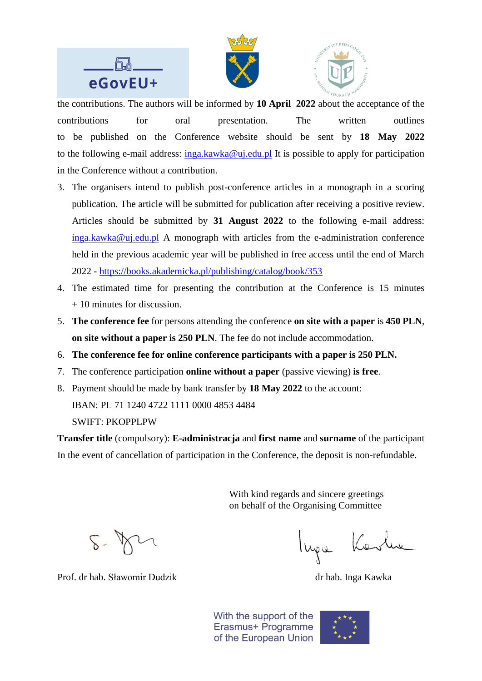





the contributions. The authors will be informed by **10 April 2022** about the acceptance of the contributions for oral presentation. The written outlines to be published on the Conference website should be sent by **18 May 2022** to the following e-mail address:  $\frac{inga.kawka@uj.edu.pl}{j}$  It is possible to apply for participation in the Conference without a contribution.

- 3. The organisers intend to publish post-conference articles in a monograph in a scoring publication. The article will be submitted for publication after receiving a positive review. Articles should be submitted by **31 August 2022** to the following e-mail address: [inga.kawka@uj.edu.pl](mailto:inga.kawka@uj.edu.pl) A monograph with articles from the e-administration conference held in the previous academic year will be published in free access until the end of March 2022 - <https://books.akademicka.pl/publishing/catalog/book/353>
- 4. The estimated time for presenting the contribution at the Conference is 15 minutes + 10 minutes for discussion.
- 5. **The conference fee** for persons attending the conference **on site with a paper** is **450 PLN**, **on site without a paper is 250 PLN**. The fee do not include accommodation.
- 6. **The conference fee for online conference participants with a paper is 250 PLN.**
- 7. The conference participation **online without a paper** (passive viewing) **is free**.
- 8. Payment should be made by bank transfer by **18 May 2022** to the account: IBAN: PL 71 1240 4722 1111 0000 4853 4484

SWIFT: PKOPPLPW

**Transfer title** (compulsory): **E-administracja** and **first name** and **surname** of the participant In the event of cancellation of participation in the Conference, the deposit is non-refundable.

> With kind regards and sincere greetings on behalf of the Organising Committee

Prof. dr hab. Sławomir Dudzik dr hab. Inga Kawka

luga Karl